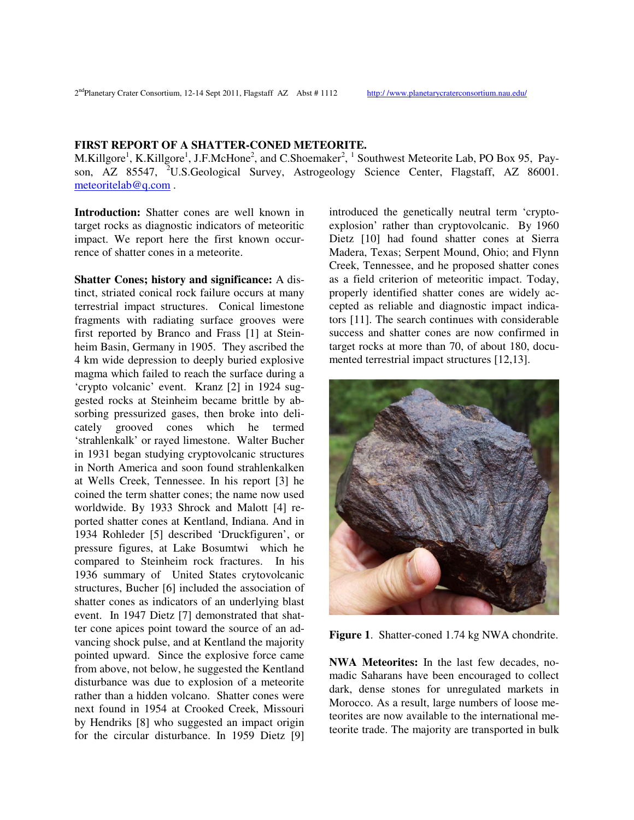**FIRST REPORT OF A SHATTER-CONED METEORITE.**

M.Killgore<sup>1</sup>, K.Killgore<sup>1</sup>, J.F.McHone<sup>2</sup>, and C.Shoemaker<sup>2</sup>, <sup>1</sup> Southwest Meteorite Lab, PO Box 95, Payson, AZ 85547, <sup>2</sup>U.S.Geological Survey, Astrogeology Science Center, Flagstaff, AZ 86001. meteoritelab@q.com .

**Introduction:** Shatter cones are well known in target rocks as diagnostic indicators of meteoritic impact. We report here the first known occurrence of shatter cones in a meteorite.

**Shatter Cones; history and significance:** A distinct, striated conical rock failure occurs at many terrestrial impact structures. Conical limestone fragments with radiating surface grooves were first reported by Branco and Frass [1] at Steinheim Basin, Germany in 1905. They ascribed the 4 km wide depression to deeply buried explosive magma which failed to reach the surface during a 'crypto volcanic' event. Kranz [2] in 1924 suggested rocks at Steinheim became brittle by absorbing pressurized gases, then broke into delicately grooved cones which he termed 'strahlenkalk' or rayed limestone. Walter Bucher in 1931 began studying cryptovolcanic structures in North America and soon found strahlenkalken at Wells Creek, Tennessee. In his report [3] he coined the term shatter cones; the name now used worldwide. By 1933 Shrock and Malott [4] reported shatter cones at Kentland, Indiana. And in 1934 Rohleder [5] described 'Druckfiguren', or pressure figures, at Lake Bosumtwi which he compared to Steinheim rock fractures. In his 1936 summary of United States crytovolcanic structures, Bucher [6] included the association of shatter cones as indicators of an underlying blast event. In 1947 Dietz [7] demonstrated that shatter cone apices point toward the source of an advancing shock pulse, and at Kentland the majority pointed upward. Since the explosive force came from above, not below, he suggested the Kentland disturbance was due to explosion of a meteorite rather than a hidden volcano. Shatter cones were next found in 1954 at Crooked Creek, Missouri by Hendriks [8] who suggested an impact origin for the circular disturbance. In 1959 Dietz [9]

introduced the genetically neutral term 'cryptoexplosion' rather than cryptovolcanic. By 1960 Dietz [10] had found shatter cones at Sierra Madera, Texas; Serpent Mound, Ohio; and Flynn Creek, Tennessee, and he proposed shatter cones as a field criterion of meteoritic impact. Today, properly identified shatter cones are widely accepted as reliable and diagnostic impact indicators [11]. The search continues with considerable success and shatter cones are now confirmed in target rocks at more than 70, of about 180, documented terrestrial impact structures [12,13].



**Figure 1**. Shatter-coned 1.74 kg NWA chondrite.

**NWA Meteorites:** In the last few decades, nomadic Saharans have been encouraged to collect dark, dense stones for unregulated markets in Morocco. As a result, large numbers of loose meteorites are now available to the international meteorite trade. The majority are transported in bulk